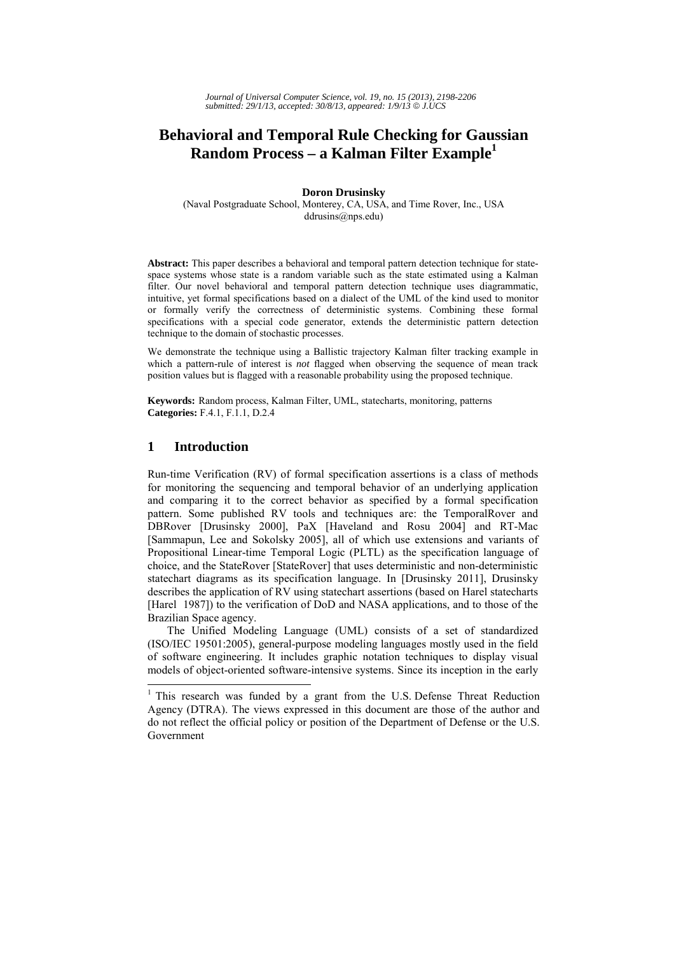# **Behavioral and Temporal Rule Checking for Gaussian Random Process – a Kalman Filter Example1**

#### **Doron Drusinsky**

(Naval Postgraduate School, Monterey, CA, USA, and Time Rover, Inc., USA ddrusins@nps.edu)

**Abstract:** This paper describes a behavioral and temporal pattern detection technique for statespace systems whose state is a random variable such as the state estimated using a Kalman filter. Our novel behavioral and temporal pattern detection technique uses diagrammatic, intuitive, yet formal specifications based on a dialect of the UML of the kind used to monitor or formally verify the correctness of deterministic systems. Combining these formal specifications with a special code generator, extends the deterministic pattern detection technique to the domain of stochastic processes.

We demonstrate the technique using a Ballistic trajectory Kalman filter tracking example in which a pattern-rule of interest is *not* flagged when observing the sequence of mean track position values but is flagged with a reasonable probability using the proposed technique.

**Keywords:** Random process, Kalman Filter, UML, statecharts, monitoring, patterns **Categories:** F.4.1, F.1.1, D.2.4

### **1 Introduction**

Run-time Verification (RV) of formal specification assertions is a class of methods for monitoring the sequencing and temporal behavior of an underlying application and comparing it to the correct behavior as specified by a formal specification pattern. Some published RV tools and techniques are: the TemporalRover and DBRover [Drusinsky 2000], PaX [Haveland and Rosu 2004] and RT-Mac [Sammapun, Lee and Sokolsky 2005], all of which use extensions and variants of Propositional Linear-time Temporal Logic (PLTL) as the specification language of choice, and the StateRover [StateRover] that uses deterministic and non-deterministic statechart diagrams as its specification language. In [Drusinsky 2011], Drusinsky describes the application of RV using statechart assertions (based on Harel statecharts [Harel 1987]) to the verification of DoD and NASA applications, and to those of the Brazilian Space agency.

The Unified Modeling Language (UML) consists of a set of standardized (ISO/IEC 19501:2005), general-purpose modeling languages mostly used in the field of software engineering. It includes graphic notation techniques to display visual models of object-oriented software-intensive systems. Since its inception in the early

<sup>&</sup>lt;sup>1</sup> This research was funded by a grant from the U.S. Defense Threat Reduction Agency (DTRA). The views expressed in this document are those of the author and do not reflect the official policy or position of the Department of Defense or the U.S. Government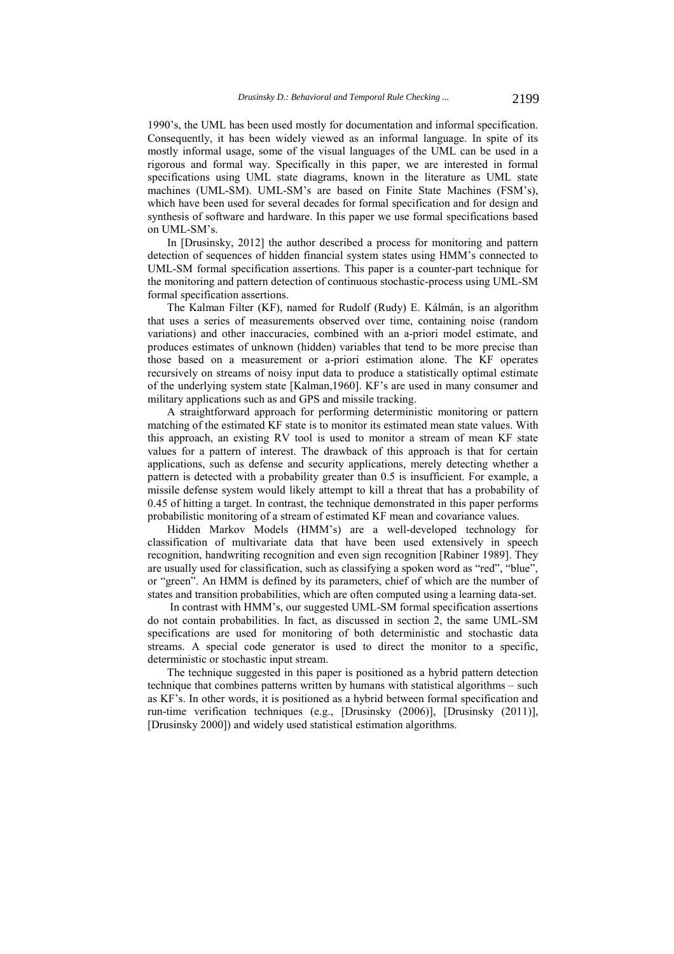1990's, the UML has been used mostly for documentation and informal specification. Consequently, it has been widely viewed as an informal language. In spite of its mostly informal usage, some of the visual languages of the UML can be used in a rigorous and formal way. Specifically in this paper, we are interested in formal specifications using UML state diagrams, known in the literature as UML state machines (UML-SM). UML-SM's are based on Finite State Machines (FSM's), which have been used for several decades for formal specification and for design and synthesis of software and hardware. In this paper we use formal specifications based on UML-SM's.

In [Drusinsky, 2012] the author described a process for monitoring and pattern detection of sequences of hidden financial system states using HMM's connected to UML-SM formal specification assertions. This paper is a counter-part technique for the monitoring and pattern detection of continuous stochastic-process using UML-SM formal specification assertions.

The Kalman Filter (KF), named for Rudolf (Rudy) E. Kálmán, is an algorithm that uses a series of measurements observed over time, containing noise (random variations) and other inaccuracies, combined with an a-priori model estimate, and produces estimates of unknown (hidden) variables that tend to be more precise than those based on a measurement or a-priori estimation alone. The KF operates recursively on streams of noisy input data to produce a statistically optimal estimate of the underlying system state [Kalman,1960]. KF's are used in many consumer and military applications such as and GPS and missile tracking.

A straightforward approach for performing deterministic monitoring or pattern matching of the estimated KF state is to monitor its estimated mean state values. With this approach, an existing RV tool is used to monitor a stream of mean KF state values for a pattern of interest. The drawback of this approach is that for certain applications, such as defense and security applications, merely detecting whether a pattern is detected with a probability greater than 0.5 is insufficient. For example, a missile defense system would likely attempt to kill a threat that has a probability of 0.45 of hitting a target. In contrast, the technique demonstrated in this paper performs probabilistic monitoring of a stream of estimated KF mean and covariance values.

Hidden Markov Models (HMM's) are a well-developed technology for classification of multivariate data that have been used extensively in speech recognition, handwriting recognition and even sign recognition [Rabiner 1989]. They are usually used for classification, such as classifying a spoken word as "red", "blue", or "green". An HMM is defined by its parameters, chief of which are the number of states and transition probabilities, which are often computed using a learning data-set.

In contrast with HMM's, our suggested UML-SM formal specification assertions do not contain probabilities. In fact, as discussed in section 2, the same UML-SM specifications are used for monitoring of both deterministic and stochastic data streams. A special code generator is used to direct the monitor to a specific, deterministic or stochastic input stream.

The technique suggested in this paper is positioned as a hybrid pattern detection technique that combines patterns written by humans with statistical algorithms – such as KF's. In other words, it is positioned as a hybrid between formal specification and run-time verification techniques (e.g., [Drusinsky (2006)], [Drusinsky (2011)], [Drusinsky 2000]) and widely used statistical estimation algorithms.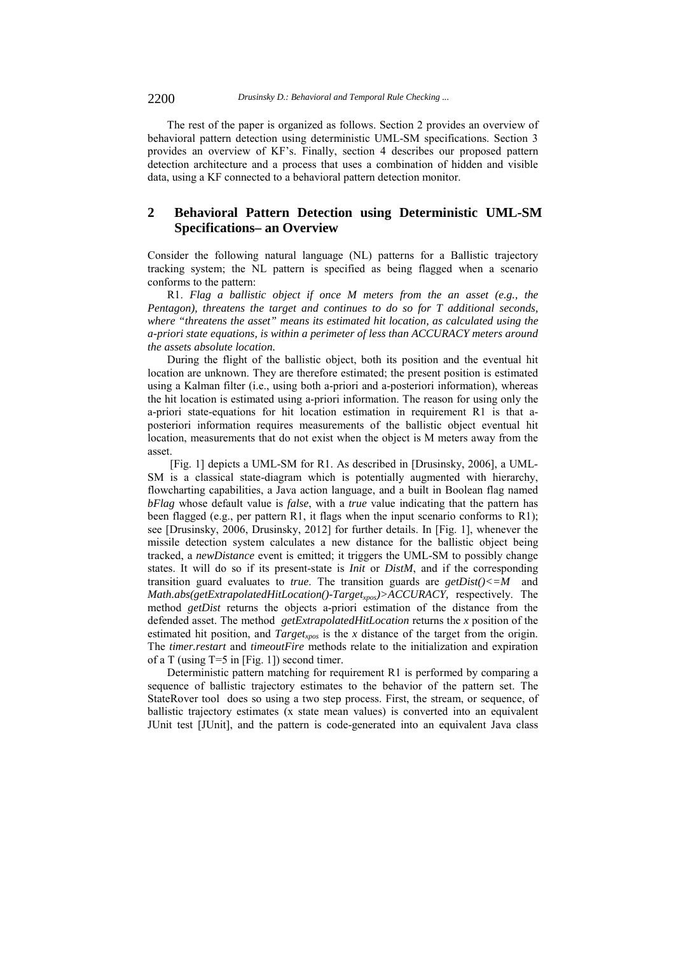The rest of the paper is organized as follows. Section 2 provides an overview of behavioral pattern detection using deterministic UML-SM specifications. Section 3 provides an overview of KF's. Finally, section 4 describes our proposed pattern detection architecture and a process that uses a combination of hidden and visible data, using a KF connected to a behavioral pattern detection monitor.

## **2 Behavioral Pattern Detection using Deterministic UML-SM Specifications– an Overview**

Consider the following natural language (NL) patterns for a Ballistic trajectory tracking system; the NL pattern is specified as being flagged when a scenario conforms to the pattern:

R1. *Flag a ballistic object if once M meters from the an asset (e.g., the Pentagon), threatens the target and continues to do so for T additional seconds, where "threatens the asset" means its estimated hit location, as calculated using the a-priori state equations, is within a perimeter of less than ACCURACY meters around the assets absolute location.* 

During the flight of the ballistic object, both its position and the eventual hit location are unknown. They are therefore estimated; the present position is estimated using a Kalman filter (i.e., using both a-priori and a-posteriori information), whereas the hit location is estimated using a-priori information. The reason for using only the a-priori state-equations for hit location estimation in requirement R1 is that aposteriori information requires measurements of the ballistic object eventual hit location, measurements that do not exist when the object is M meters away from the asset.

 [Fig. 1] depicts a UML-SM for R1. As described in [Drusinsky, 2006], a UML-SM is a classical state-diagram which is potentially augmented with hierarchy, flowcharting capabilities, a Java action language, and a built in Boolean flag named *bFlag* whose default value is *false*, with a *true* value indicating that the pattern has been flagged (e.g., per pattern R1, it flags when the input scenario conforms to R1); see [Drusinsky, 2006, Drusinsky, 2012] for further details. In [Fig. 1], whenever the missile detection system calculates a new distance for the ballistic object being tracked, a *newDistance* event is emitted; it triggers the UML-SM to possibly change states. It will do so if its present-state is *Init* or *DistM*, and if the corresponding transition guard evaluates to *true*. The transition guards are  $getDist( $) < = M$  and$ *Math.abs(getExtrapolatedHitLocation()-Target<sub>xpos</sub>)>ACCURACY,* respectively. The method *getDist* returns the objects a-priori estimation of the distance from the defended asset. The method *getExtrapolatedHitLocation* returns the *x* position of the estimated hit position, and  $Target_{xpos}$  is the *x* distance of the target from the origin. The *timer.restart* and *timeoutFire* methods relate to the initialization and expiration of a T (using T=5 in [Fig. 1]) second timer.

Deterministic pattern matching for requirement R1 is performed by comparing a sequence of ballistic trajectory estimates to the behavior of the pattern set. The StateRover tool does so using a two step process. First, the stream, or sequence, of ballistic trajectory estimates (x state mean values) is converted into an equivalent JUnit test [JUnit], and the pattern is code-generated into an equivalent Java class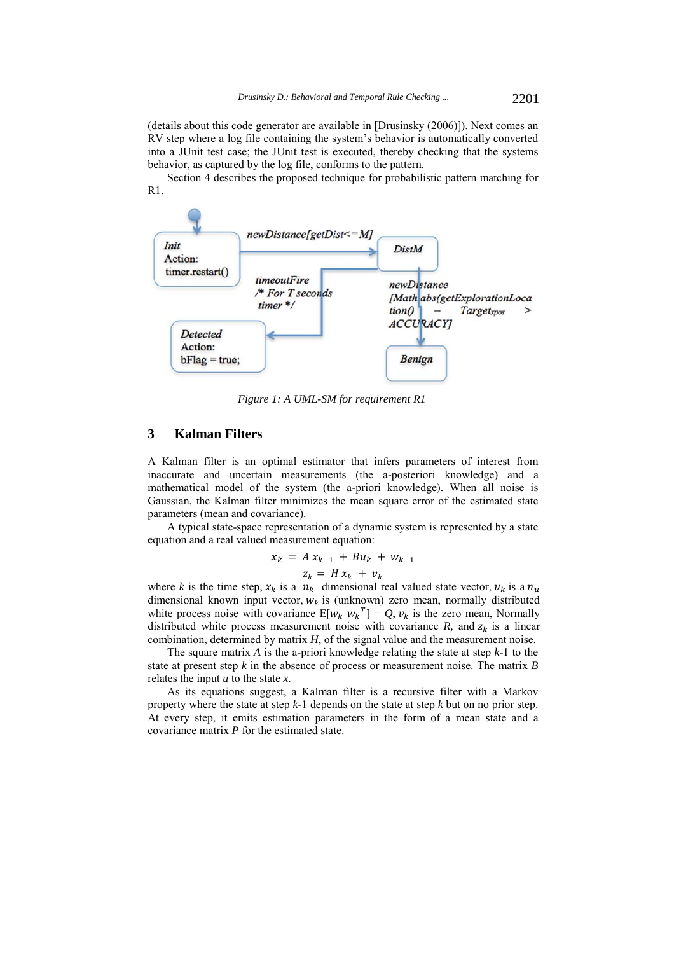(details about this code generator are available in [Drusinsky (2006)]). Next comes an RV step where a log file containing the system's behavior is automatically converted into a JUnit test case; the JUnit test is executed, thereby checking that the systems behavior, as captured by the log file, conforms to the pattern.

Section 4 describes the proposed technique for probabilistic pattern matching for R1.



*Figure 1: A UML-SM for requirement R1* 

### **3 Kalman Filters**

A Kalman filter is an optimal estimator that infers parameters of interest from inaccurate and uncertain measurements (the a-posteriori knowledge) and a mathematical model of the system (the a-priori knowledge). When all noise is Gaussian, the Kalman filter minimizes the mean square error of the estimated state parameters (mean and covariance).

A typical state-space representation of a dynamic system is represented by a state equation and a real valued measurement equation:

$$
x_k = A x_{k-1} + B u_k + w_{k-1}
$$

 $z_k = H x_k + v_k$ 

where *k* is the time step,  $x_k$  is a  $n_k$  dimensional real valued state vector,  $u_k$  is a  $n_u$ dimensional known input vector,  $w_k$  is (unknown) zero mean, normally distributed white process noise with covariance  $E[w_k w_k^T] = Q, v_k$  is the zero mean, Normally distributed white process measurement noise with covariance *R*, and  $z_k$  is a linear combination, determined by matrix *H*, of the signal value and the measurement noise.

The square matrix *A* is the a-priori knowledge relating the state at step *k*-1 to the state at present step *k* in the absence of process or measurement noise. The matrix *B* relates the input *u* to the state *x*.

As its equations suggest, a Kalman filter is a recursive filter with a Markov property where the state at step *k*-1 depends on the state at step *k* but on no prior step. At every step, it emits estimation parameters in the form of a mean state and a covariance matrix *P* for the estimated state.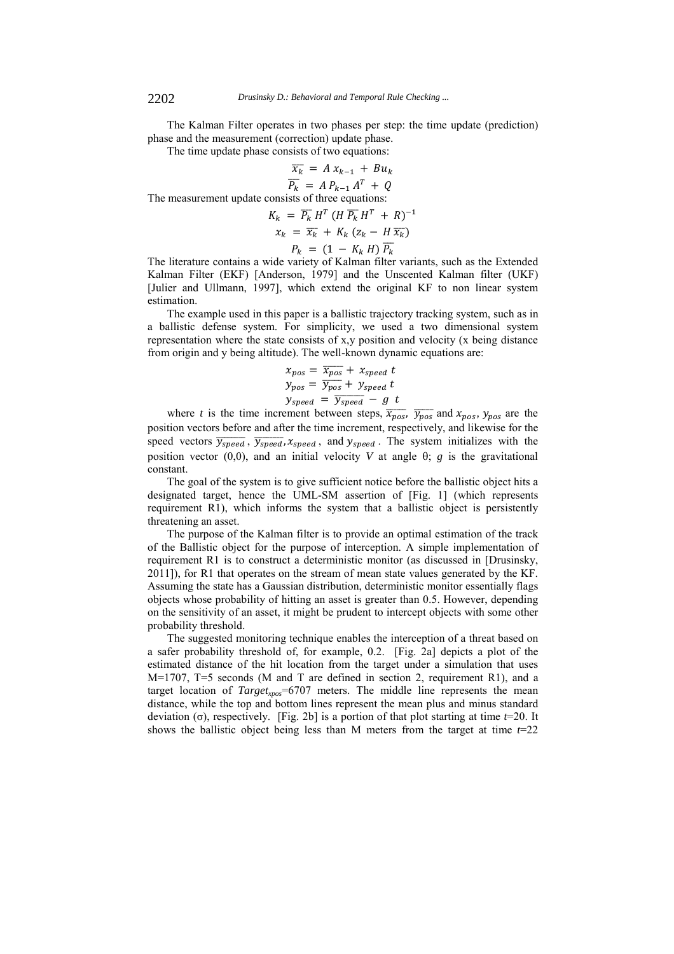The Kalman Filter operates in two phases per step: the time update (prediction) phase and the measurement (correction) update phase.

The time update phase consists of two equations:

$$
\overline{x_k} = A x_{k-1} + B u_k
$$
  
\n
$$
\overline{P_k} = A P_{k-1} A^T + Q
$$
  
\n
$$
\overline{P_k} = A^T A^T + Q
$$

The measurement update consists of three equations:

$$
K_k = \overline{P_k} H^T (H \overline{P_k} H^T + R)^{-1}
$$
  

$$
x_k = \overline{x_k} + K_k (z_k - H \overline{x_k})
$$
  

$$
P_k = (1 - K_k H) \overline{P_k}
$$

The literature contains a wide variety of Kalman filter variants, such as the Extended Kalman Filter (EKF) [Anderson, 1979] and the Unscented Kalman filter (UKF) [Julier and Ullmann, 1997], which extend the original KF to non linear system estimation.

The example used in this paper is a ballistic trajectory tracking system, such as in a ballistic defense system. For simplicity, we used a two dimensional system representation where the state consists of x,y position and velocity (x being distance from origin and y being altitude). The well-known dynamic equations are:

$$
x_{pos} = \overline{x_{pos}} + x_{speed} t
$$
  
\n
$$
y_{pos} = \overline{y_{pos}} + y_{speed} t
$$
  
\n
$$
y_{speed} = \overline{y_{speed}} - g t
$$

where *t* is the time increment between steps,  $\overline{x_{pos}}$ ,  $\overline{y_{pos}}$  and  $x_{pos}$ ,  $y_{pos}$  are the position vectors before and after the time increment, respectively, and likewise for the speed vectors  $\overline{y_{speed}}$ ,  $\overline{y_{speed}}$ ,  $x_{speed}$ , and  $y_{speed}$ . The system initializes with the position vector  $(0,0)$ , and an initial velocity *V* at angle  $\theta$ ; *g* is the gravitational constant.

The goal of the system is to give sufficient notice before the ballistic object hits a designated target, hence the UML-SM assertion of [Fig. 1] (which represents requirement R1), which informs the system that a ballistic object is persistently threatening an asset.

The purpose of the Kalman filter is to provide an optimal estimation of the track of the Ballistic object for the purpose of interception. A simple implementation of requirement R1 is to construct a deterministic monitor (as discussed in [Drusinsky, 2011]), for R1 that operates on the stream of mean state values generated by the KF. Assuming the state has a Gaussian distribution, deterministic monitor essentially flags objects whose probability of hitting an asset is greater than 0.5. However, depending on the sensitivity of an asset, it might be prudent to intercept objects with some other probability threshold.

The suggested monitoring technique enables the interception of a threat based on a safer probability threshold of, for example, 0.2. [Fig. 2a] depicts a plot of the estimated distance of the hit location from the target under a simulation that uses M=1707, T=5 seconds (M and T are defined in section 2, requirement R1), and a target location of *Target<sub>xpos</sub>*=6707 meters. The middle line represents the mean distance, while the top and bottom lines represent the mean plus and minus standard deviation (σ), respectively. [Fig. 2b] is a portion of that plot starting at time *t*=20. It shows the ballistic object being less than M meters from the target at time *t*=22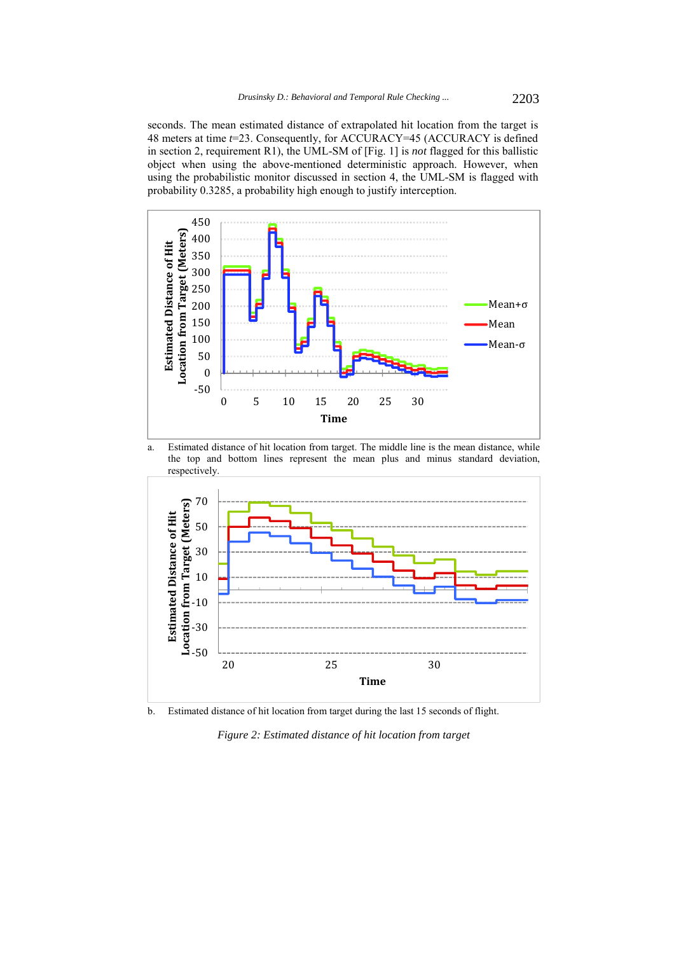seconds. The mean estimated distance of extrapolated hit location from the target is 48 meters at time *t*=23. Consequently, for ACCURACY=45 (ACCURACY is defined in section 2, requirement R1), the UML-SM of [Fig. 1] is *not* flagged for this ballistic object when using the above-mentioned deterministic approach. However, when using the probabilistic monitor discussed in section 4, the UML-SM is flagged with probability 0.3285, a probability high enough to justify interception.



a. Estimated distance of hit location from target. The middle line is the mean distance, while the top and bottom lines represent the mean plus and minus standard deviation, respectively.



b. Estimated distance of hit location from target during the last 15 seconds of flight.

*Figure 2: Estimated distance of hit location from target*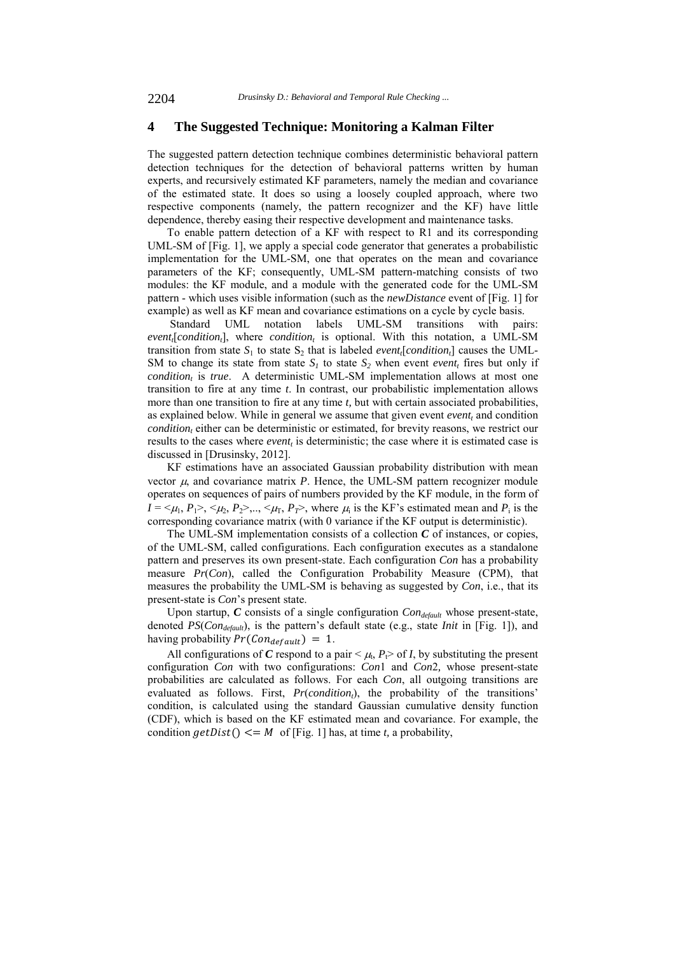#### **4 The Suggested Technique: Monitoring a Kalman Filter**

The suggested pattern detection technique combines deterministic behavioral pattern detection techniques for the detection of behavioral patterns written by human experts, and recursively estimated KF parameters, namely the median and covariance of the estimated state. It does so using a loosely coupled approach, where two respective components (namely, the pattern recognizer and the KF) have little dependence, thereby easing their respective development and maintenance tasks.

To enable pattern detection of a KF with respect to R1 and its corresponding UML-SM of [Fig. 1], we apply a special code generator that generates a probabilistic implementation for the UML-SM, one that operates on the mean and covariance parameters of the KF; consequently, UML-SM pattern-matching consists of two modules: the KF module, and a module with the generated code for the UML-SM pattern - which uses visible information (such as the *newDistance* event of [Fig. 1] for example) as well as KF mean and covariance estimations on a cycle by cycle basis.

 Standard UML notation labels UML-SM transitions with pairs:  $event<sub>i</sub>[condition<sub>t</sub>],$  where *condition<sub>t</sub>* is optional. With this notation, a UML-SM transition from state  $S_1$  to state  $S_2$  that is labeled *event<sub>i</sub>*[*condition<sub>i</sub>*] causes the UML-SM to change its state from state  $S_1$  to state  $S_2$  when event *event*, fires but only if *condition<sub>t</sub>* is *true*. A deterministic UML-SM implementation allows at most one transition to fire at any time *t*. In contrast, our probabilistic implementation allows more than one transition to fire at any time *t,* but with certain associated probabilities, as explained below. While in general we assume that given event  $event_t$  and condition *condition*, either can be deterministic or estimated, for brevity reasons, we restrict our results to the cases where *event*, is deterministic; the case where it is estimated case is discussed in [Drusinsky, 2012].

KF estimations have an associated Gaussian probability distribution with mean vector  $\mu$ , and covariance matrix  $P$ . Hence, the UML-SM pattern recognizer module operates on sequences of pairs of numbers provided by the KF module, in the form of  $I = \langle \mu_1, P_1 \rangle, \langle \mu_2, P_2 \rangle, \ldots, \langle \mu_{T}, P_{T} \rangle$ , where  $\mu_i$  is the KF's estimated mean and  $P_i$  is the corresponding covariance matrix (with 0 variance if the KF output is deterministic).

The UML-SM implementation consists of a collection *C* of instances, or copies, of the UML-SM, called configurations. Each configuration executes as a standalone pattern and preserves its own present-state. Each configuration *Con* has a probability measure *Pr*(*Con*), called the Configuration Probability Measure (CPM), that measures the probability the UML-SM is behaving as suggested by *Con*, i.e., that its present-state is *Con*'s present state.

Upon startup, *C* consists of a single configuration *Con<sub>default</sub>* whose present-state, denoted *PS*(*Condefault*), is the pattern's default state (e.g., state *Init* in [Fig. 1]), and having probability  $Pr(Con_{default}) = 1$ .

All configurations of *C* respond to a pair  $\lt \mu$ , *P* $\gt$  of *I*, by substituting the present configuration *Con* with two configurations: *Con*1 and *Con*2*,* whose present-state probabilities are calculated as follows. For each *Con*, all outgoing transitions are evaluated as follows. First, *Pr*(*condition<sub>t</sub>*), the probability of the transitions' condition, is calculated using the standard Gaussian cumulative density function (CDF), which is based on the KF estimated mean and covariance. For example, the condition  $getDist() \leq M$  of [Fig. 1] has, at time *t*, a probability,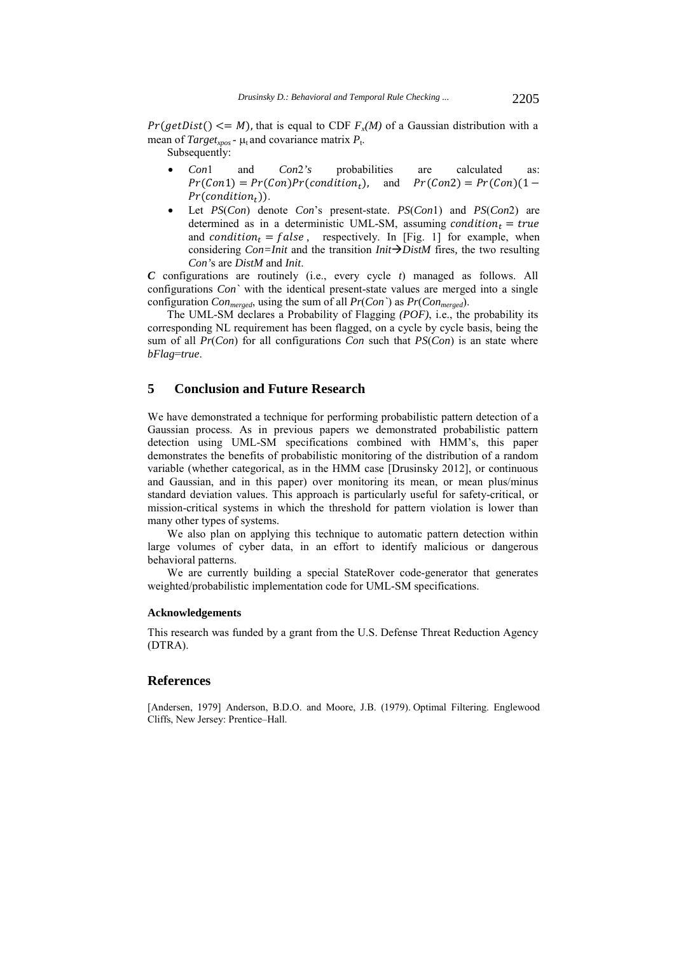$Pr(getDist() \leq M)$ , that is equal to CDF  $F_x(M)$  of a Gaussian distribution with a mean of *Target<sub>xpos</sub>* -  $\mu$ <sub>t</sub> and covariance matrix  $P_t$ .

Subsequently:

- *Con*1 and *Con*2*'s* probabilities are calculated as: and  $Pr(Con2) = Pr(Con)(1 Pr(Con1) = Pr(Con)Pr(condition_t)$  $Pr(condition_t)$ ).
- Let *PS*(*Con*) denote *Con*'s present-state. *PS*(*Con*1) and *PS*(*Con*2) are determined as in a deterministic UML-SM, assuming condition<sub>t</sub> = true and *condition<sub>t</sub>* =  $false$ , respectively. In [Fig. 1] for example, when considering *Con=Init* and the transition *InitDistM* fires*,* the two resulting *Con'*s are *DistM* and *Init*.

*C* configurations are routinely (i.e., every cycle *t*) managed as follows. All configurations *Con`* with the identical present-state values are merged into a single configuration *Conmerged*, using the sum of all *Pr*(*Con`*) as *Pr*(*Conmerged*).

The UML-SM declares a Probability of Flagging *(POF)*, i.e., the probability its corresponding NL requirement has been flagged, on a cycle by cycle basis, being the sum of all *Pr*(*Con*) for all configurations *Con* such that *PS*(*Con*) is an state where *bFlag*=*true*.

### **5 Conclusion and Future Research**

We have demonstrated a technique for performing probabilistic pattern detection of a Gaussian process. As in previous papers we demonstrated probabilistic pattern detection using UML-SM specifications combined with HMM's, this paper demonstrates the benefits of probabilistic monitoring of the distribution of a random variable (whether categorical, as in the HMM case [Drusinsky 2012], or continuous and Gaussian, and in this paper) over monitoring its mean, or mean plus/minus standard deviation values. This approach is particularly useful for safety-critical, or mission-critical systems in which the threshold for pattern violation is lower than many other types of systems.

We also plan on applying this technique to automatic pattern detection within large volumes of cyber data, in an effort to identify malicious or dangerous behavioral patterns.

We are currently building a special StateRover code-generator that generates weighted/probabilistic implementation code for UML-SM specifications.

#### **Acknowledgements**

This research was funded by a grant from the U.S. Defense Threat Reduction Agency (DTRA).

#### **References**

[Andersen, 1979] Anderson, B.D.O. and Moore, J.B. (1979). Optimal Filtering. Englewood Cliffs, New Jersey: Prentice–Hall.